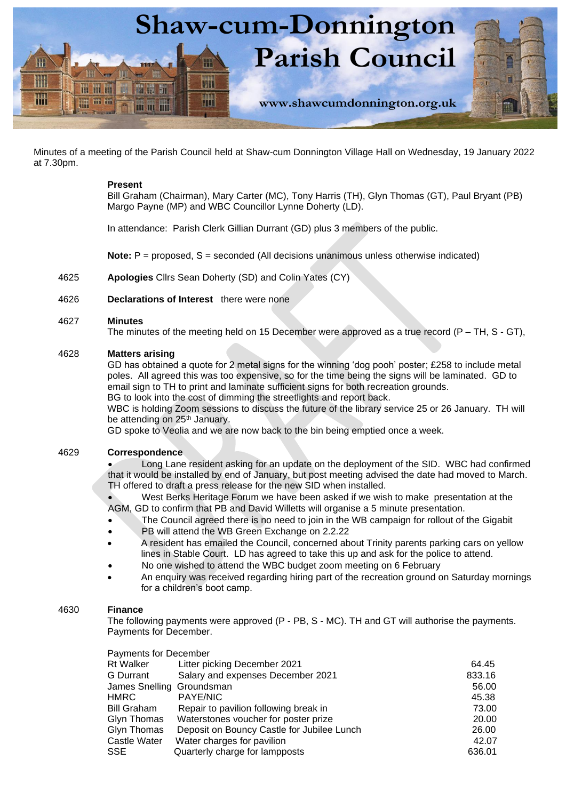

Minutes of a meeting of the Parish Council held at Shaw-cum Donnington Village Hall on Wednesday, 19 January 2022 at 7.30pm.

# **Present**

Bill Graham (Chairman), Mary Carter (MC), Tony Harris (TH), Glyn Thomas (GT), Paul Bryant (PB) Margo Payne (MP) and WBC Councillor Lynne Doherty (LD).

In attendance: Parish Clerk Gillian Durrant (GD) plus 3 members of the public.

**Note:**  $P =$  proposed, S = seconded (All decisions unanimous unless otherwise indicated)

- 4625 **Apologies** Cllrs Sean Doherty (SD) and Colin Yates (CY)
- 4626 **Declarations of Interest** there were none

### 4627 **Minutes**

The minutes of the meeting held on 15 December were approved as a true record  $(P - TH, S - GT)$ ,

# 4628 **Matters arising**

GD has obtained a quote for 2 metal signs for the winning 'dog pooh' poster; £258 to include metal poles. All agreed this was too expensive, so for the time being the signs will be laminated. GD to email sign to TH to print and laminate sufficient signs for both recreation grounds. BG to look into the cost of dimming the streetlights and report back.

WBC is holding Zoom sessions to discuss the future of the library service 25 or 26 January. TH will

be attending on 25<sup>th</sup> January.

GD spoke to Veolia and we are now back to the bin being emptied once a week.

# 4629 **Correspondence**

• Long Lane resident asking for an update on the deployment of the SID. WBC had confirmed that it would be installed by end of January, but post meeting advised the date had moved to March. TH offered to draft a press release for the new SID when installed.

• West Berks Heritage Forum we have been asked if we wish to make presentation at the AGM, GD to confirm that PB and David Willetts will organise a 5 minute presentation.

- The Council agreed there is no need to join in the WB campaign for rollout of the Gigabit
- PB will attend the WB Green Exchange on 2.2.22
- A resident has emailed the Council, concerned about Trinity parents parking cars on yellow lines in Stable Court. LD has agreed to take this up and ask for the police to attend.
- No one wished to attend the WBC budget zoom meeting on 6 February
- An enquiry was received regarding hiring part of the recreation ground on Saturday mornings for a children's boot camp.

# 4630 **Finance**

The following payments were approved (P - PB, S - MC). TH and GT will authorise the payments. Payments for December.

| <b>Payments for December</b>               |        |
|--------------------------------------------|--------|
| Litter picking December 2021               | 64.45  |
| Salary and expenses December 2021          | 833.16 |
| James Snelling Groundsman                  | 56.00  |
| <b>PAYE/NIC</b>                            | 45.38  |
| Repair to pavilion following break in      | 73.00  |
| Waterstones voucher for poster prize       | 20.00  |
| Deposit on Bouncy Castle for Jubilee Lunch | 26.00  |
| Water charges for pavilion                 | 42.07  |
| Quarterly charge for lampposts             | 636.01 |
|                                            |        |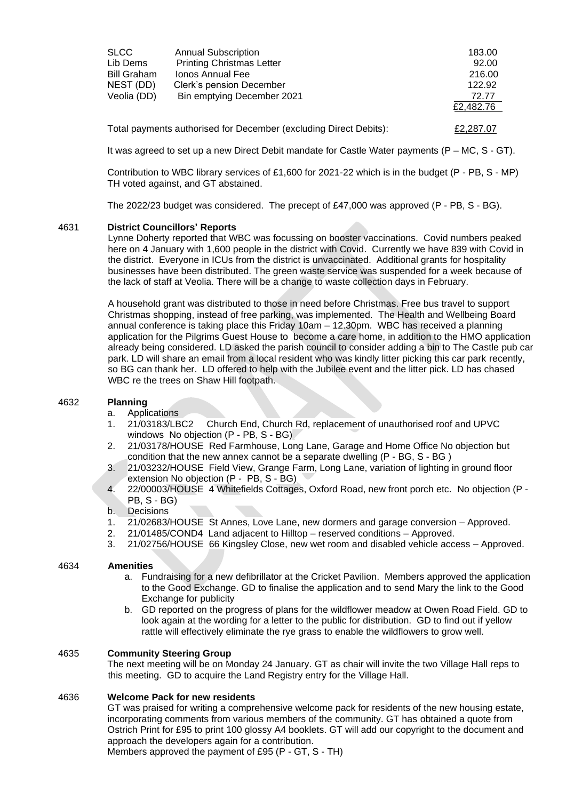| <b>SLCC</b><br>Lib Dems | <b>Annual Subscription</b><br><b>Printing Christmas Letter</b>    | 183.00<br>92.00 |
|-------------------------|-------------------------------------------------------------------|-----------------|
| <b>Bill Graham</b>      | Ionos Annual Fee                                                  | 216.00          |
| NEST (DD)               | Clerk's pension December                                          | 122.92          |
| Veolia (DD)             | Bin emptying December 2021                                        | 72.77           |
|                         |                                                                   | £2,482.76       |
|                         | Total payments authorised for December (excluding Direct Debits): | £2,287.07       |

It was agreed to set up a new Direct Debit mandate for Castle Water payments (P - MC, S - GT).

Contribution to WBC library services of £1,600 for 2021-22 which is in the budget (P - PB, S - MP) TH voted against, and GT abstained.

The 2022/23 budget was considered. The precept of £47,000 was approved (P - PB, S - BG).

#### 4631 **District Councillors' Reports**

Lynne Doherty reported that WBC was focussing on booster vaccinations. Covid numbers peaked here on 4 January with 1,600 people in the district with Covid. Currently we have 839 with Covid in the district. Everyone in ICUs from the district is unvaccinated. Additional grants for hospitality businesses have been distributed. The green waste service was suspended for a week because of the lack of staff at Veolia. There will be a change to waste collection days in February.

A household grant was distributed to those in need before Christmas. Free bus travel to support Christmas shopping, instead of free parking, was implemented. The Health and Wellbeing Board annual conference is taking place this Friday 10am – 12.30pm. WBC has received a planning application for the Pilgrims Guest House to become a care home, in addition to the HMO application already being considered. LD asked the parish council to consider adding a bin to The Castle pub car park. LD will share an email from a local resident who was kindly litter picking this car park recently, so BG can thank her. LD offered to help with the Jubilee event and the litter pick. LD has chased WBC re the trees on Shaw Hill footpath.

# 4632 **Planning**

- a. Applications
- 1. 21/03183/LBC2 Church End, Church Rd, replacement of unauthorised roof and UPVC windows No objection (P - PB, S - BG)
- 2. 21/03178/HOUSE Red Farmhouse, Long Lane, Garage and Home Office No objection but condition that the new annex cannot be a separate dwelling (P - BG, S - BG )
- 3. 21/03232/HOUSE Field View, Grange Farm, Long Lane, variation of lighting in ground floor extension No objection (P - PB, S - BG)
- 4. 22/00003/HOUSE 4 Whitefields Cottages, Oxford Road, new front porch etc. No objection (P PB, S - BG)
- b. Decisions
- 1. 21/02683/HOUSE St Annes, Love Lane, new dormers and garage conversion Approved.
- 2. 21/01485/COND4 Land adjacent to Hilltop reserved conditions Approved.
- 3. 21/02756/HOUSE 66 Kingsley Close, new wet room and disabled vehicle access Approved.

# 4634 **Amenities**

- a. Fundraising for a new defibrillator at the Cricket Pavilion. Members approved the application to the Good Exchange. GD to finalise the application and to send Mary the link to the Good Exchange for publicity
- b. GD reported on the progress of plans for the wildflower meadow at Owen Road Field. GD to look again at the wording for a letter to the public for distribution. GD to find out if yellow rattle will effectively eliminate the rye grass to enable the wildflowers to grow well.

#### 4635 **Community Steering Group**

The next meeting will be on Monday 24 January. GT as chair will invite the two Village Hall reps to this meeting. GD to acquire the Land Registry entry for the Village Hall.

#### 4636 **Welcome Pack for new residents**

GT was praised for writing a comprehensive welcome pack for residents of the new housing estate, incorporating comments from various members of the community. GT has obtained a quote from Ostrich Print for £95 to print 100 glossy A4 booklets. GT will add our copyright to the document and approach the developers again for a contribution.

Members approved the payment of £95 (P - GT, S - TH)